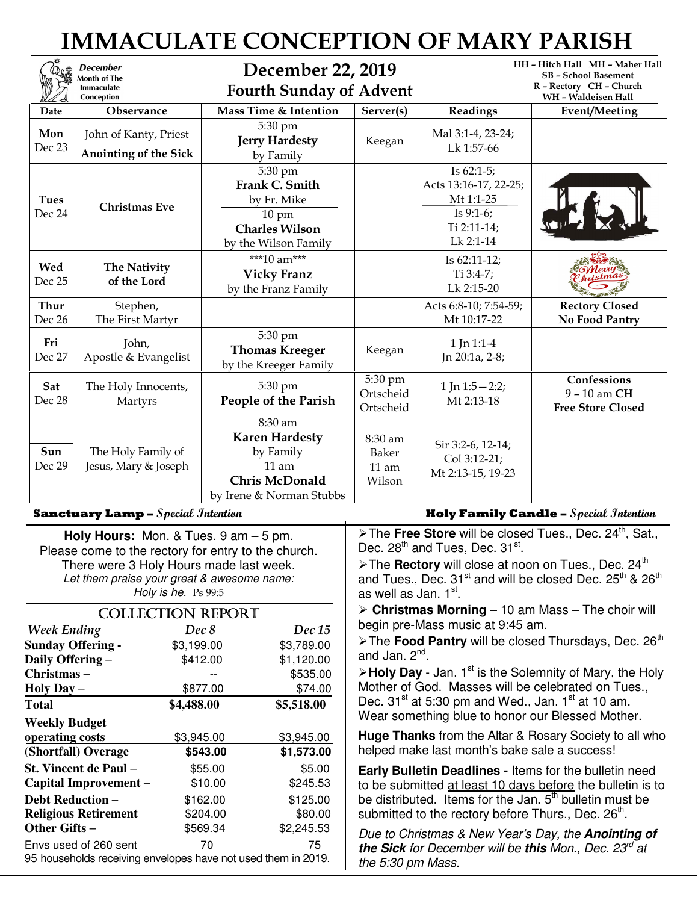| <b>IMMACULATE CONCEPTION OF MARY PARISH</b> |                                                                    |                                                                                                               |                                       |                                                                                                 |                                                                                                                  |  |  |
|---------------------------------------------|--------------------------------------------------------------------|---------------------------------------------------------------------------------------------------------------|---------------------------------------|-------------------------------------------------------------------------------------------------|------------------------------------------------------------------------------------------------------------------|--|--|
|                                             | <b>December</b><br>Month of The<br><b>Immaculate</b><br>Conception | December 22, 2019<br><b>Fourth Sunday of Advent</b>                                                           |                                       |                                                                                                 | HH - Hitch Hall MH - Maher Hall<br><b>SB</b> - School Basement<br>R - Rectory CH - Church<br>WH - Waldeisen Hall |  |  |
| Date                                        | Observance                                                         | Mass Time & Intention                                                                                         | Server(s)                             | Readings                                                                                        | <b>Event/Meeting</b>                                                                                             |  |  |
| Mon<br>Dec 23                               | John of Kanty, Priest<br>Anointing of the Sick                     | 5:30 pm<br><b>Jerry Hardesty</b><br>by Family                                                                 | Keegan                                | Mal 3:1-4, 23-24;<br>Lk 1:57-66                                                                 |                                                                                                                  |  |  |
| <b>Tues</b><br>Dec 24                       | <b>Christmas Eve</b>                                               | 5:30 pm<br>Frank C. Smith<br>by Fr. Mike<br>$10 \text{ pm}$<br><b>Charles Wilson</b><br>by the Wilson Family  |                                       | Is $62:1-5$ ;<br>Acts 13:16-17, 22-25;<br>Mt 1:1-25<br>Is $9:1-6$ ;<br>Ti 2:11-14;<br>Lk 2:1-14 |                                                                                                                  |  |  |
| Wed<br>Dec 25                               | The Nativity<br>of the Lord                                        | ***10 am***<br><b>Vicky Franz</b><br>by the Franz Family                                                      |                                       | Is 62:11-12;<br>Ti $3:4-7;$<br>Lk 2:15-20                                                       |                                                                                                                  |  |  |
| Thur<br>Dec 26                              | Stephen,<br>The First Martyr                                       |                                                                                                               |                                       | Acts 6:8-10; 7:54-59;<br>Mt 10:17-22                                                            | <b>Rectory Closed</b><br><b>No Food Pantry</b>                                                                   |  |  |
| Fri<br>Dec 27                               | John,<br>Apostle & Evangelist                                      | 5:30 pm<br><b>Thomas Kreeger</b><br>by the Kreeger Family                                                     | Keegan                                | 1 Jn 1:1-4<br>Jn 20:1a, 2-8;                                                                    |                                                                                                                  |  |  |
| Sat<br>Dec 28                               | The Holy Innocents,<br>Martyrs                                     | 5:30 pm<br>People of the Parish                                                                               | 5:30 pm<br>Ortscheid<br>Ortscheid     | 1 Jn $1:5 - 2:2;$<br>Mt 2:13-18                                                                 | Confessions<br>9 - 10 am CH<br><b>Free Store Closed</b>                                                          |  |  |
| Sun<br>Dec 29                               | The Holy Family of<br>Jesus, Mary & Joseph                         | 8:30 am<br><b>Karen Hardesty</b><br>by Family<br>$11$ am<br><b>Chris McDonald</b><br>by Irene & Norman Stubbs | 8:30 am<br>Baker<br>$11$ am<br>Wilson | Sir 3:2-6, 12-14;<br>Col 3:12-21;<br>Mt 2:13-15, 19-23                                          |                                                                                                                  |  |  |

**Holy Hours:** Mon. & Tues. 9 am – 5 pm. Please come to the rectory for entry to the church. There were 3 Holy Hours made last week. Let them praise your great & awesome name: Holy is he. Ps 99:5

| <b>COLLECTION REPORT</b>                                                               |            |            |  |  |  |
|----------------------------------------------------------------------------------------|------------|------------|--|--|--|
| <b>Week Ending</b>                                                                     | Dec 8      | Dec 15     |  |  |  |
| <b>Sunday Offering -</b>                                                               | \$3,199.00 | \$3,789.00 |  |  |  |
| Daily Offering -                                                                       | \$412.00   | \$1,120.00 |  |  |  |
| Christmas-                                                                             |            | \$535.00   |  |  |  |
| Holy Day –                                                                             | \$877.00   | \$74.00    |  |  |  |
| Total                                                                                  | \$4,488.00 | \$5,518.00 |  |  |  |
| <b>Weekly Budget</b>                                                                   |            |            |  |  |  |
| operating costs                                                                        | \$3,945.00 | \$3,945.00 |  |  |  |
| (Shortfall) Overage                                                                    | \$543.00   | \$1,573.00 |  |  |  |
| St. Vincent de Paul –                                                                  | \$55.00    | \$5.00     |  |  |  |
| Capital Improvement –                                                                  | \$10.00    | \$245.53   |  |  |  |
| <b>Debt Reduction –</b>                                                                | \$162.00   | \$125.00   |  |  |  |
| <b>Religious Retirement</b>                                                            | \$204.00   | \$80.00    |  |  |  |
| Other Gifts –                                                                          | \$569.34   | \$2,245.53 |  |  |  |
| Envs used of 260 sent<br>95 households receiving envelopes have not used them in 2019. | 70         | 75         |  |  |  |
|                                                                                        |            |            |  |  |  |

### **Sanctuary Lamp –** Special Intention **Example 1 August 2018** Holy Family Candle – Special Intention

> The Free Store will be closed Tues., Dec. 24<sup>th</sup>, Sat., Dec. 28<sup>th</sup> and Tues, Dec. 31<sup>st</sup>.

≻The **Rectory** will close at noon on Tues., Dec. 24<sup>th</sup> and Tues., Dec.  $31<sup>st</sup>$  and will be closed Dec.  $25<sup>th</sup>$  &  $26<sup>th</sup>$ as well as Jan. 1<sup>st</sup>.

 **Christmas Morning** – 10 am Mass – The choir will begin pre-Mass music at 9:45 am.

> The **Food Pantry** will be closed Thursdays, Dec. 26<sup>th</sup> and Jan. 2<sup>nd</sup>.

 $\triangleright$  **Holy Day** - Jan. 1<sup>st</sup> is the Solemnity of Mary, the Holy Mother of God. Masses will be celebrated on Tues., Dec.  $31<sup>st</sup>$  at 5:30 pm and Wed., Jan.  $1<sup>st</sup>$  at 10 am. Wear something blue to honor our Blessed Mother.

**Huge Thanks** from the Altar & Rosary Society to all who helped make last month's bake sale a success!

**Early Bulletin Deadlines -** Items for the bulletin need to be submitted at least 10 days before the bulletin is to be distributed. Items for the Jan.  $5<sup>th</sup>$  bulletin must be submitted to the rectory before Thurs., Dec.  $26<sup>th</sup>$ .

Due to Christmas & New Year's Day, the **Anointing of the Sick** for December will be **this** Mon., Dec. 23<sup>rd</sup> at the 5:30 pm Mass.